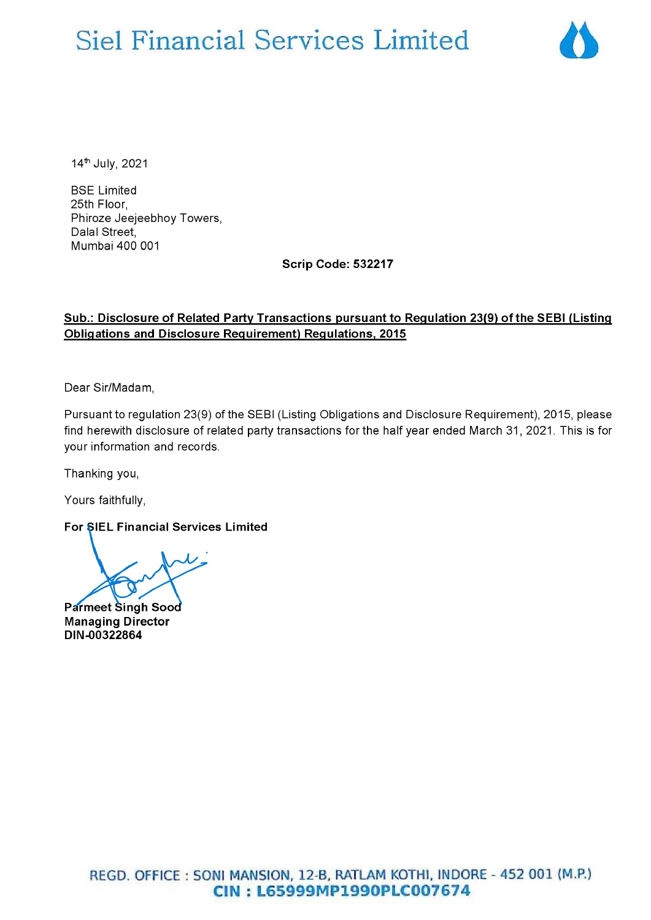# Siel Financial Services Limited



14" July, 2021

BSE Limited 25th Floor, Phiroze Jeejeebhoy Towers, Dalal Street, Mumbai 400 001

Scrip Code: 532217

#### Sub.: Disclosure of Related Party Transactions pursuant to Regulation 23(9) of the SEBI (Listing Obligations and Disclosure Requirement) Regulations, 2015

Dear Sir/Madam,

Pursuant to regulation 23(9) of the SEBI (Listing Obligations and Disclosure Requirement), 2015, please find herewith disclosure of related party transactions for the half year ended March 31, 2021. This is for your information and records.

Thanking you,

Yours faithfully,

For SIEL Financial Services Limited

Pdrmeet Singh Soo Managing Director DIN-00322864